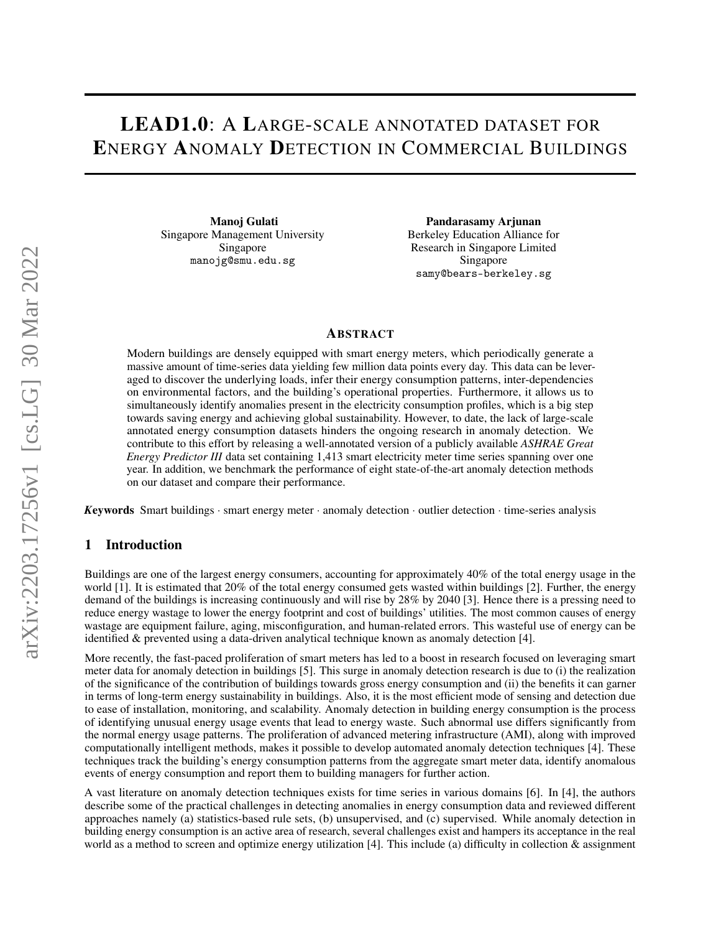# LEAD1.0: A LARGE-SCALE ANNOTATED DATASET FOR ENERGY ANOMALY DETECTION IN COMMERCIAL BUILDINGS

Manoj Gulati Singapore Management University Singapore manojg@smu.edu.sg

Pandarasamy Arjunan Berkeley Education Alliance for Research in Singapore Limited Singapore samy@bears-berkeley.sg

## ABSTRACT

Modern buildings are densely equipped with smart energy meters, which periodically generate a massive amount of time-series data yielding few million data points every day. This data can be leveraged to discover the underlying loads, infer their energy consumption patterns, inter-dependencies on environmental factors, and the building's operational properties. Furthermore, it allows us to simultaneously identify anomalies present in the electricity consumption profiles, which is a big step towards saving energy and achieving global sustainability. However, to date, the lack of large-scale annotated energy consumption datasets hinders the ongoing research in anomaly detection. We contribute to this effort by releasing a well-annotated version of a publicly available *ASHRAE Great Energy Predictor III* data set containing 1,413 smart electricity meter time series spanning over one year. In addition, we benchmark the performance of eight state-of-the-art anomaly detection methods on our dataset and compare their performance.

*K*eywords Smart buildings · smart energy meter · anomaly detection · outlier detection · time-series analysis

## 1 Introduction

Buildings are one of the largest energy consumers, accounting for approximately 40% of the total energy usage in the world [1]. It is estimated that 20% of the total energy consumed gets wasted within buildings [2]. Further, the energy demand of the buildings is increasing continuously and will rise by 28% by 2040 [3]. Hence there is a pressing need to reduce energy wastage to lower the energy footprint and cost of buildings' utilities. The most common causes of energy wastage are equipment failure, aging, misconfiguration, and human-related errors. This wasteful use of energy can be identified & prevented using a data-driven analytical technique known as anomaly detection [4].

More recently, the fast-paced proliferation of smart meters has led to a boost in research focused on leveraging smart meter data for anomaly detection in buildings [5]. This surge in anomaly detection research is due to (i) the realization of the significance of the contribution of buildings towards gross energy consumption and (ii) the benefits it can garner in terms of long-term energy sustainability in buildings. Also, it is the most efficient mode of sensing and detection due to ease of installation, monitoring, and scalability. Anomaly detection in building energy consumption is the process of identifying unusual energy usage events that lead to energy waste. Such abnormal use differs significantly from the normal energy usage patterns. The proliferation of advanced metering infrastructure (AMI), along with improved computationally intelligent methods, makes it possible to develop automated anomaly detection techniques [4]. These techniques track the building's energy consumption patterns from the aggregate smart meter data, identify anomalous events of energy consumption and report them to building managers for further action.

A vast literature on anomaly detection techniques exists for time series in various domains [6]. In [4], the authors describe some of the practical challenges in detecting anomalies in energy consumption data and reviewed different approaches namely (a) statistics-based rule sets, (b) unsupervised, and (c) supervised. While anomaly detection in building energy consumption is an active area of research, several challenges exist and hampers its acceptance in the real world as a method to screen and optimize energy utilization [4]. This include (a) difficulty in collection  $\&$  assignment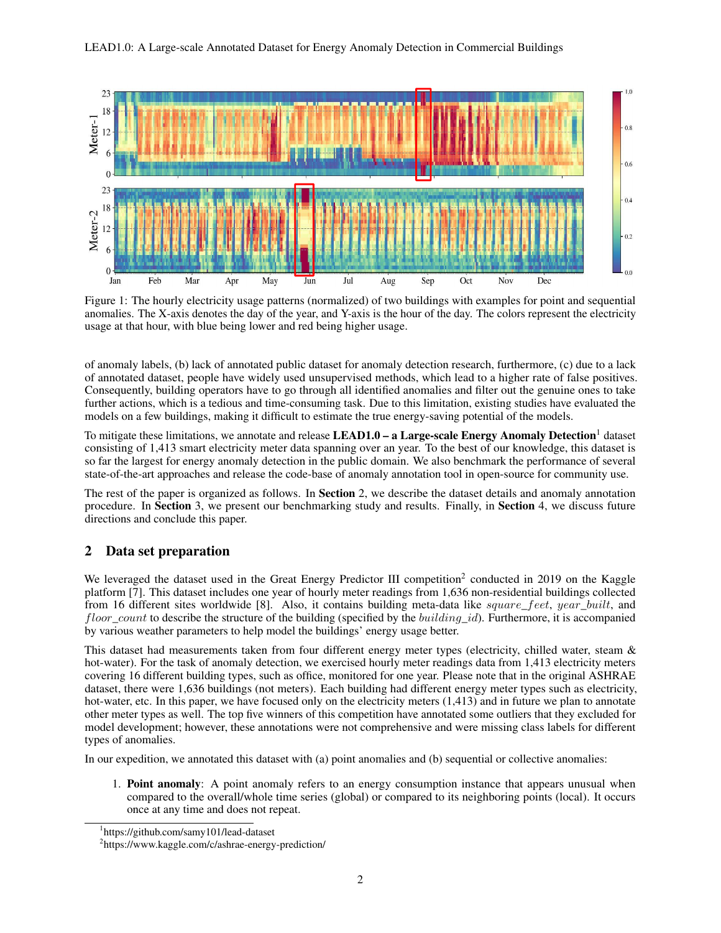

Figure 1: The hourly electricity usage patterns (normalized) of two buildings with examples for point and sequential anomalies. The X-axis denotes the day of the year, and Y-axis is the hour of the day. The colors represent the electricity usage at that hour, with blue being lower and red being higher usage.

of anomaly labels, (b) lack of annotated public dataset for anomaly detection research, furthermore, (c) due to a lack of annotated dataset, people have widely used unsupervised methods, which lead to a higher rate of false positives. Consequently, building operators have to go through all identified anomalies and filter out the genuine ones to take further actions, which is a tedious and time-consuming task. Due to this limitation, existing studies have evaluated the models on a few buildings, making it difficult to estimate the true energy-saving potential of the models.

To mitigate these limitations, we annotate and release **LEAD1.0** – a Large-scale Energy Anomaly Detection<sup>1</sup> dataset consisting of 1,413 smart electricity meter data spanning over an year. To the best of our knowledge, this dataset is so far the largest for energy anomaly detection in the public domain. We also benchmark the performance of several state-of-the-art approaches and release the code-base of anomaly annotation tool in open-source for community use.

The rest of the paper is organized as follows. In **Section** 2, we describe the dataset details and anomaly annotation procedure. In Section 3, we present our benchmarking study and results. Finally, in Section 4, we discuss future directions and conclude this paper.

## 2 Data set preparation

We leveraged the dataset used in the Great Energy Predictor III competition<sup>2</sup> conducted in 2019 on the Kaggle platform [7]. This dataset includes one year of hourly meter readings from 1,636 non-residential buildings collected from 16 different sites worldwide [8]. Also, it contains building meta-data like square\_feet, year\_built, and *floor\_count* to describe the structure of the building (specified by the *building\_id*). Furthermore, it is accompanied by various weather parameters to help model the buildings' energy usage better.

This dataset had measurements taken from four different energy meter types (electricity, chilled water, steam & hot-water). For the task of anomaly detection, we exercised hourly meter readings data from 1,413 electricity meters covering 16 different building types, such as office, monitored for one year. Please note that in the original ASHRAE dataset, there were 1,636 buildings (not meters). Each building had different energy meter types such as electricity, hot-water, etc. In this paper, we have focused only on the electricity meters (1,413) and in future we plan to annotate other meter types as well. The top five winners of this competition have annotated some outliers that they excluded for model development; however, these annotations were not comprehensive and were missing class labels for different types of anomalies.

In our expedition, we annotated this dataset with (a) point anomalies and (b) sequential or collective anomalies:

1. Point anomaly: A point anomaly refers to an energy consumption instance that appears unusual when compared to the overall/whole time series (global) or compared to its neighboring points (local). It occurs once at any time and does not repeat.

<sup>1</sup> https://github.com/samy101/lead-dataset

<sup>&</sup>lt;sup>2</sup>https://www.kaggle.com/c/ashrae-energy-prediction/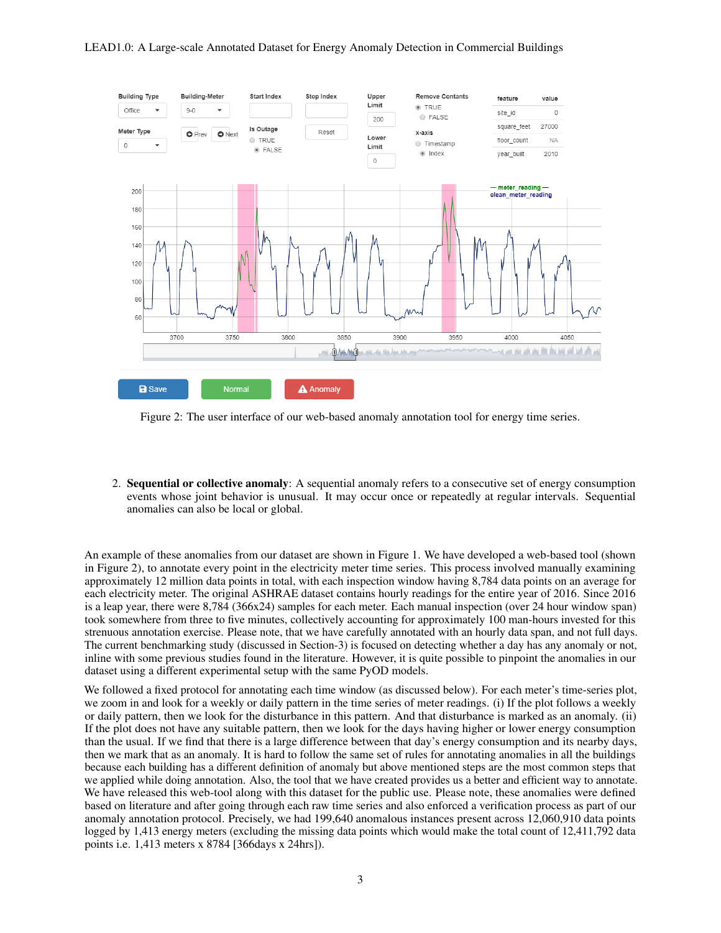#### LEAD1.0: A Large-scale Annotated Dataset for Energy Anomaly Detection in Commercial Buildings



Figure 2: The user interface of our web-based anomaly annotation tool for energy time series.

2. Sequential or collective anomaly: A sequential anomaly refers to a consecutive set of energy consumption events whose joint behavior is unusual. It may occur once or repeatedly at regular intervals. Sequential anomalies can also be local or global.

An example of these anomalies from our dataset are shown in Figure 1. We have developed a web-based tool (shown in Figure 2), to annotate every point in the electricity meter time series. This process involved manually examining approximately 12 million data points in total, with each inspection window having 8,784 data points on an average for each electricity meter. The original ASHRAE dataset contains hourly readings for the entire year of 2016. Since 2016 is a leap year, there were 8,784 (366x24) samples for each meter. Each manual inspection (over 24 hour window span) took somewhere from three to five minutes, collectively accounting for approximately 100 man-hours invested for this strenuous annotation exercise. Please note, that we have carefully annotated with an hourly data span, and not full days. The current benchmarking study (discussed in Section-3) is focused on detecting whether a day has any anomaly or not, inline with some previous studies found in the literature. However, it is quite possible to pinpoint the anomalies in our dataset using a different experimental setup with the same PyOD models.

We followed a fixed protocol for annotating each time window (as discussed below). For each meter's time-series plot, we zoom in and look for a weekly or daily pattern in the time series of meter readings. (i) If the plot follows a weekly or daily pattern, then we look for the disturbance in this pattern. And that disturbance is marked as an anomaly. (ii) If the plot does not have any suitable pattern, then we look for the days having higher or lower energy consumption than the usual. If we find that there is a large difference between that day's energy consumption and its nearby days, then we mark that as an anomaly. It is hard to follow the same set of rules for annotating anomalies in all the buildings because each building has a different definition of anomaly but above mentioned steps are the most common steps that we applied while doing annotation. Also, the tool that we have created provides us a better and efficient way to annotate. We have released this web-tool along with this dataset for the public use. Please note, these anomalies were defined based on literature and after going through each raw time series and also enforced a verification process as part of our anomaly annotation protocol. Precisely, we had 199,640 anomalous instances present across 12,060,910 data points logged by 1,413 energy meters (excluding the missing data points which would make the total count of 12,411,792 data points i.e. 1,413 meters x 8784 [366days x 24hrs]).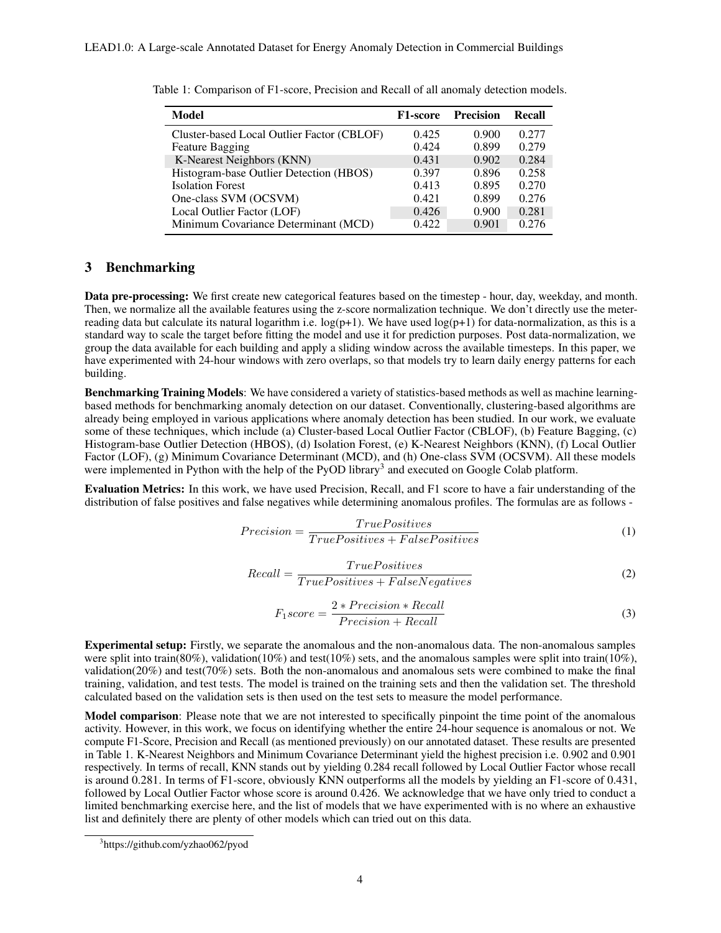| Model                                      | <b>F1-score</b> | Precision | Recall |
|--------------------------------------------|-----------------|-----------|--------|
| Cluster-based Local Outlier Factor (CBLOF) | 0.425           | 0.900     | 0.277  |
| <b>Feature Bagging</b>                     | 0.424           | 0.899     | 0.279  |
| K-Nearest Neighbors (KNN)                  | 0.431           | 0.902     | 0.284  |
| Histogram-base Outlier Detection (HBOS)    | 0.397           | 0.896     | 0.258  |
| <b>Isolation Forest</b>                    | 0.413           | 0.895     | 0.270  |
| One-class SVM (OCSVM)                      | 0.421           | 0.899     | 0.276  |
| Local Outlier Factor (LOF)                 | 0.426           | 0.900     | 0.281  |
| Minimum Covariance Determinant (MCD)       | 0.422           | 0.901     | 0.276  |

Table 1: Comparison of F1-score, Precision and Recall of all anomaly detection models.

## 3 Benchmarking

Data pre-processing: We first create new categorical features based on the timestep - hour, day, weekday, and month. Then, we normalize all the available features using the z-score normalization technique. We don't directly use the meterreading data but calculate its natural logarithm i.e.  $log(p+1)$ . We have used  $log(p+1)$  for data-normalization, as this is a standard way to scale the target before fitting the model and use it for prediction purposes. Post data-normalization, we group the data available for each building and apply a sliding window across the available timesteps. In this paper, we have experimented with 24-hour windows with zero overlaps, so that models try to learn daily energy patterns for each building.

Benchmarking Training Models: We have considered a variety of statistics-based methods as well as machine learningbased methods for benchmarking anomaly detection on our dataset. Conventionally, clustering-based algorithms are already being employed in various applications where anomaly detection has been studied. In our work, we evaluate some of these techniques, which include (a) Cluster-based Local Outlier Factor (CBLOF), (b) Feature Bagging, (c) Histogram-base Outlier Detection (HBOS), (d) Isolation Forest, (e) K-Nearest Neighbors (KNN), (f) Local Outlier Factor (LOF), (g) Minimum Covariance Determinant (MCD), and (h) One-class SVM (OCSVM). All these models were implemented in Python with the help of the PyOD library<sup>3</sup> and executed on Google Colab platform.

Evaluation Metrics: In this work, we have used Precision, Recall, and F1 score to have a fair understanding of the distribution of false positives and false negatives while determining anomalous profiles. The formulas are as follows -

$$
Precision = \frac{TruePositives}{TruePositives + FalsePositives}
$$
\n<sup>(1)</sup>

$$
Recall = \frac{TruePositives}{TruePositives + FalseNegatives}
$$
 (2)

$$
F_1 score = \frac{2 * Precision * Recall}{Precision + Recall}
$$
\n(3)

Experimental setup: Firstly, we separate the anomalous and the non-anomalous data. The non-anomalous samples were split into train(80%), validation(10%) and test(10%) sets, and the anomalous samples were split into train(10%), validation(20%) and test(70%) sets. Both the non-anomalous and anomalous sets were combined to make the final training, validation, and test tests. The model is trained on the training sets and then the validation set. The threshold calculated based on the validation sets is then used on the test sets to measure the model performance.

Model comparison: Please note that we are not interested to specifically pinpoint the time point of the anomalous activity. However, in this work, we focus on identifying whether the entire 24-hour sequence is anomalous or not. We compute F1-Score, Precision and Recall (as mentioned previously) on our annotated dataset. These results are presented in Table 1. K-Nearest Neighbors and Minimum Covariance Determinant yield the highest precision i.e. 0.902 and 0.901 respectively. In terms of recall, KNN stands out by yielding 0.284 recall followed by Local Outlier Factor whose recall is around 0.281. In terms of F1-score, obviously KNN outperforms all the models by yielding an F1-score of 0.431, followed by Local Outlier Factor whose score is around 0.426. We acknowledge that we have only tried to conduct a limited benchmarking exercise here, and the list of models that we have experimented with is no where an exhaustive list and definitely there are plenty of other models which can tried out on this data.

<sup>3</sup> https://github.com/yzhao062/pyod